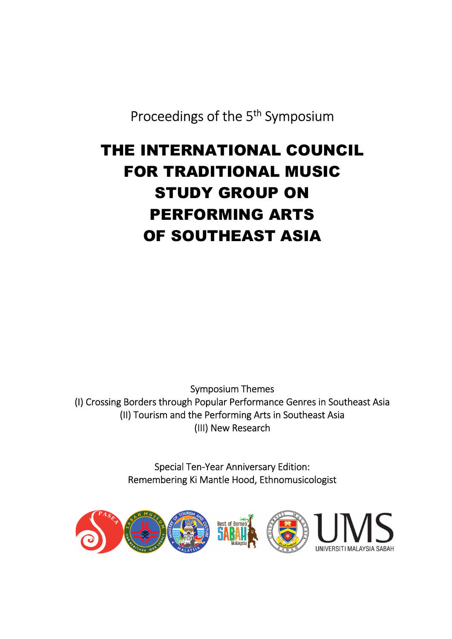Proceedings of the 5<sup>th</sup> Symposium

# THE INTERNATIONAL COUNCIL **THE INTERNATIONAL COUNCIL** FOR TRADITIONAL MUSIC **FOR TRADITIONAL MUSIC** STUDY GROUP ON **STUDY GROUP ON** PERFORMING ARTS **PERFORMING ARTS** OF SOUTHEAST ASIA **OF SOUTHEAST ASIA**

Symposium Themes Symposium Themes (I) Crossing Borders through Popular Performance Genres in Southeast Asia (I) Crossing Borders through Popular Performance Genres in Southeast Asia (II) Tourism and the Performing Arts in Southeast Asia (II) Tourism and the Performing Arts in Southeast Asia (III) New Research (Ill) New Research

> Special Ten-Year Anniversary Edition: Special Ten-Year Anniversary Edition: Remembering Ki Mantle Hood, Ethnomusicologist Remembering Ki Mantle Hood, Ethnomusicologist

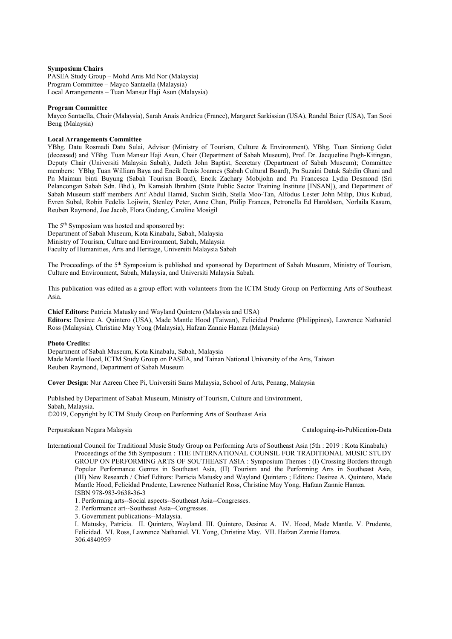#### **Symposium Chairs**

PASEA Study Group – Mohd Anis Md Nor (Malaysia) Program Committee – Mayco Santaella (Malaysia) Local Arrangements – Tuan Mansur Haji Asun (Malaysia)

#### **Program Committee**

Mayco Santaella, Chair (Malaysia), Sarah Anais Andrieu (France), Margaret Sarkissian (USA), Randal Baier (USA), Tan Sooi Beng (Malaysia)

### **Local Arrangements Committee**

YBhg. Datu Rosmadi Datu Sulai, Advisor (Ministry of Tourism, Culture & Environment), YBhg. Tuan Sintiong Gelet (deceased) and YBhg. Tuan Mansur Haji Asun, Chair (Department of Sabah Museum), Prof. Dr. Jacqueline Pugh-Kitingan, Deputy Chair (Universiti Malaysia Sabah), Judeth John Baptist, Secretary (Department of Sabah Museum); Committee members: YBhg Tuan William Baya and Encik Denis Joannes (Sabah Cultural Board), Pn Suzaini Datuk Sabdin Ghani and Pn Maimun binti Buyung (Sabah Tourism Board), Encik Zachary Mobijohn and Pn Francesca Lydia Desmond (Sri Pelancongan Sabah Sdn. Bhd.), Pn Kamsiah Ibrahim (State Public Sector Training Institute [INSAN]), and Department of Sabah Museum staff members Arif Abdul Hamid, Suchin Sidih, Stella Moo-Tan, Alfodus Lester John Milip, Dius Kubud, Evren Subal, Robin Fedelis Lojiwin, Stenley Peter, Anne Chan, Philip Frances, Petronella Ed Haroldson, Norlaila Kasum, Reuben Raymond, Joe Jacob, Flora Gudang, Caroline Mosigil

The 5<sup>th</sup> Symposium was hosted and sponsored by: Department of Sabah Museum, Kota Kinabalu, Sabah, Malaysia Ministry of Tourism, Culture and Environment, Sabah, Malaysia Faculty of Humanities, Arts and Heritage, Universiti Malaysia Sabah

The Proceedings of the 5th Symposium is published and sponsored by Department of Sabah Museum, Ministry of Tourism, Culture and Environment, Sabah, Malaysia, and Universiti Malaysia Sabah.

This publication was edited as a group effort with volunteers from the ICTM Study Group on Performing Arts of Southeast Asia.

**Chief Editors:** Patricia Matusky and Wayland Quintero (Malaysia and USA) **Editors:** Desiree A. Quintero (USA), Made Mantle Hood (Taiwan), Felicidad Prudente (Philippines), Lawrence Nathaniel Ross (Malaysia), Christine May Yong (Malaysia), Hafzan Zannie Hamza (Malaysia)

#### **Photo Credits:**

Department of Sabah Museum, Kota Kinabalu, Sabah, Malaysia Made Mantle Hood, ICTM Study Group on PASEA, and Tainan National University of the Arts, Taiwan Reuben Raymond, Department of Sabah Museum

**Cover Design**: Nur Azreen Chee Pi, Universiti Sains Malaysia, School of Arts, Penang, Malaysia

Published by Department of Sabah Museum, Ministry of Tourism, Culture and Environment, Sabah, Malaysia. ©2019, Copyright by ICTM Study Group on Performing Arts of Southeast Asia

#### Perpustakaan Negara Malaysia Cataloguing-in-Publication-Data

- International Council for Traditional Music Study Group on Performing Arts of Southeast Asia (5th : 2019 : Kota Kinabalu) Proceedings of the 5th Symposium : THE INTERNATIONAL COUNSIL FOR TRADITIONAL MUSIC STUDY GROUP ON PERFORMING ARTS OF SOUTHEAST ASIA : Symposium Themes : (I) Crossing Borders through Popular Performance Genres in Southeast Asia, (II) Tourism and the Performing Arts in Southeast Asia, (III) New Research / Chief Editors: Patricia Matusky and Wayland Quintero ; Editors: Desiree A. Quintero, Made Mantle Hood, Felicidad Prudente, Lawrence Nathaniel Ross, Christine May Yong, Hafzan Zannie Hamza. ISBN 978-983-9638-36-3
	- 1. Performing arts--Social aspects--Southeast Asia--Congresses.
	- 2. Performance art--Southeast Asia--Congresses.
	- 3. Government publications--Malaysia.

I. Matusky, Patricia. II. Quintero, Wayland. III. Quintero, Desiree A. IV. Hood, Made Mantle. V. Prudente, Felicidad. VI. Ross, Lawrence Nathaniel. VI. Yong, Christine May. VII. Hafzan Zannie Hamza. 306.4840959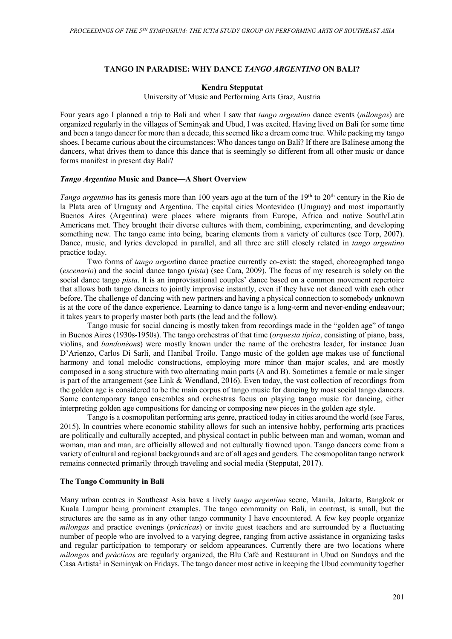# **TANGO IN PARADISE: WHY DANCE** *TANGO ARGENTINO* **ON BALI?**

# **Kendra Stepputat**

University of Music and Performing Arts Graz, Austria

Four years ago I planned a trip to Bali and when I saw that *tango argentino* dance events (*milongas*) are organized regularly in the villages of Seminyak and Ubud, I was excited. Having lived on Bali for some time and been a tango dancer for more than a decade, this seemed like a dream come true. While packing my tango shoes, I became curious about the circumstances: Who dances tango on Bali? If there are Balinese among the dancers, what drives them to dance this dance that is seemingly so different from all other music or dance forms manifest in present day Bali?

# *Tango Argentino* **Music and Dance—A Short Overview**

*Tango argentino* has its genesis more than 100 years ago at the turn of the 19<sup>th</sup> to 20<sup>th</sup> century in the Rio de la Plata area of Uruguay and Argentina. The capital cities Montevideo (Uruguay) and most importantly Buenos Aires (Argentina) were places where migrants from Europe, Africa and native South/Latin Americans met. They brought their diverse cultures with them, combining, experimenting, and developing something new. The tango came into being, bearing elements from a variety of cultures (see Torp, 2007). Dance, music, and lyrics developed in parallel, and all three are still closely related in *tango argentino* practice today.

Two forms of *tango argen*tino dance practice currently co-exist: the staged, choreographed tango (*escenario*) and the social dance tango (*pista*) (see Cara, 2009). The focus of my research is solely on the social dance tango *pista*. It is an improvisational couples' dance based on a common movement repertoire that allows both tango dancers to jointly improvise instantly, even if they have not danced with each other before. The challenge of dancing with new partners and having a physical connection to somebody unknown is at the core of the dance experience. Learning to dance tango is a long-term and never-ending endeavour; it takes years to properly master both parts (the lead and the follow).

Tango music for social dancing is mostly taken from recordings made in the "golden age" of tango in Buenos Aires (1930s-1950s). The tango orchestras of that time (*orquesta típica*, consisting of piano, bass, violins, and *bandonéon*s) were mostly known under the name of the orchestra leader, for instance Juan D'Arienzo, Carlos Di Sarli, and Hanibal Troilo. Tango music of the golden age makes use of functional harmony and tonal melodic constructions, employing more minor than major scales, and are mostly composed in a song structure with two alternating main parts (A and B). Sometimes a female or male singer is part of the arrangement (see Link & Wendland, 2016). Even today, the vast collection of recordings from the golden age is considered to be the main corpus of tango music for dancing by most social tango dancers. Some contemporary tango ensembles and orchestras focus on playing tango music for dancing, either interpreting golden age compositions for dancing or composing new pieces in the golden age style.

Tango is a cosmopolitan performing arts genre, practiced today in cities around the world (see Fares, 2015). In countries where economic stability allows for such an intensive hobby, performing arts practices are politically and culturally accepted, and physical contact in public between man and woman, woman and woman, man and man, are officially allowed and not culturally frowned upon. Tango dancers come from a variety of cultural and regional backgrounds and are of all ages and genders. The cosmopolitan tango network remains connected primarily through traveling and social media (Stepputat, 2017).

# **The Tango Community in Bali**

Many urban centres in Southeast Asia have a lively *tango argentino* scene, Manila, Jakarta, Bangkok or Kuala Lumpur being prominent examples. The tango community on Bali, in contrast, is small, but the structures are the same as in any other tango community I have encountered. A few key people organize *milongas* and practice evenings (*prácticas*) or invite guest teachers and are surrounded by a fluctuating number of people who are involved to a varying degree, ranging from active assistance in organizing tasks and regular participation to temporary or seldom appearances. Currently there are two locations where *milongas* and *prácticas* are regularly organized, the Blu Café and Restaurant in Ubud on Sundays and the Casa Artista<sup>1</sup> in Seminyak on Fridays. The tango dancer most active in keeping the Ubud community together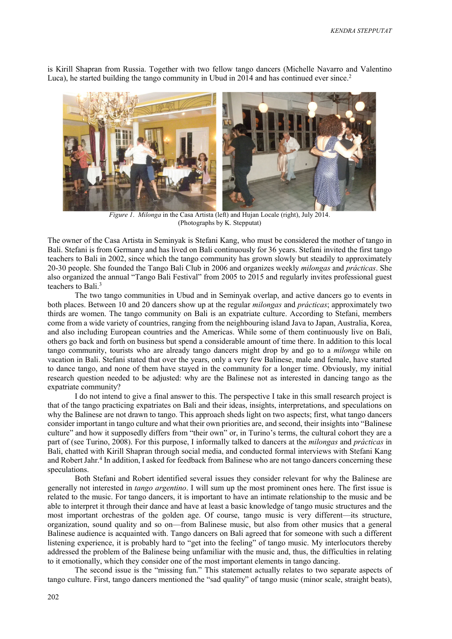is Kirill Shapran from Russia. Together with two fellow tango dancers (Michelle Navarro and Valentino Luca), he started building the tango community in Ubud in 2014 and has continued ever since.<sup>2</sup>



*Figure 1*. *Milonga* in the Casa Artista (left) and Hujan Locale (right), July 2014. (Photographs by K. Stepputat)

The owner of the Casa Artista in Seminyak is Stefani Kang, who must be considered the mother of tango in Bali. Stefani is from Germany and has lived on Bali continuously for 36 years. Stefani invited the first tango teachers to Bali in 2002, since which the tango community has grown slowly but steadily to approximately 20-30 people. She founded the Tango Bali Club in 2006 and organizes weekly *milongas* and *prácticas*. She also organized the annual "Tango Bali Festival" from 2005 to 2015 and regularly invites professional guest teachers to Bali.<sup>3</sup>

The two tango communities in Ubud and in Seminyak overlap, and active dancers go to events in both places. Between 10 and 20 dancers show up at the regular *milongas* and *prácticas*; approximately two thirds are women. The tango community on Bali is an expatriate culture. According to Stefani, members come from a wide variety of countries, ranging from the neighbouring island Java to Japan, Australia, Korea, and also including European countries and the Americas. While some of them continuously live on Bali, others go back and forth on business but spend a considerable amount of time there. In addition to this local tango community, tourists who are already tango dancers might drop by and go to a *milonga* while on vacation in Bali. Stefani stated that over the years, only a very few Balinese, male and female, have started to dance tango, and none of them have stayed in the community for a longer time. Obviously, my initial research question needed to be adjusted: why are the Balinese not as interested in dancing tango as the expatriate community?

I do not intend to give a final answer to this. The perspective I take in this small research project is that of the tango practicing expatriates on Bali and their ideas, insights, interpretations, and speculations on why the Balinese are not drawn to tango. This approach sheds light on two aspects; first, what tango dancers consider important in tango culture and what their own priorities are, and second, their insights into "Balinese culture" and how it supposedly differs from "their own" or, in Turino's terms, the cultural cohort they are a part of (see Turino, 2008). For this purpose, I informally talked to dancers at the *milongas* and *prácticas* in Bali, chatted with Kirill Shapran through social media, and conducted formal interviews with Stefani Kang and Robert Jahr.<sup>4</sup> In addition, I asked for feedback from Balinese who are not tango dancers concerning these speculations.

Both Stefani and Robert identified several issues they consider relevant for why the Balinese are generally not interested in *tango argentino*. I will sum up the most prominent ones here. The first issue is related to the music. For tango dancers, it is important to have an intimate relationship to the music and be able to interpret it through their dance and have at least a basic knowledge of tango music structures and the most important orchestras of the golden age. Of course, tango music is very different—its structure, organization, sound quality and so on—from Balinese music, but also from other musics that a general Balinese audience is acquainted with. Tango dancers on Bali agreed that for someone with such a different listening experience, it is probably hard to "get into the feeling" of tango music. My interlocutors thereby addressed the problem of the Balinese being unfamiliar with the music and, thus, the difficulties in relating to it emotionally, which they consider one of the most important elements in tango dancing.

The second issue is the "missing fun." This statement actually relates to two separate aspects of tango culture. First, tango dancers mentioned the "sad quality" of tango music (minor scale, straight beats),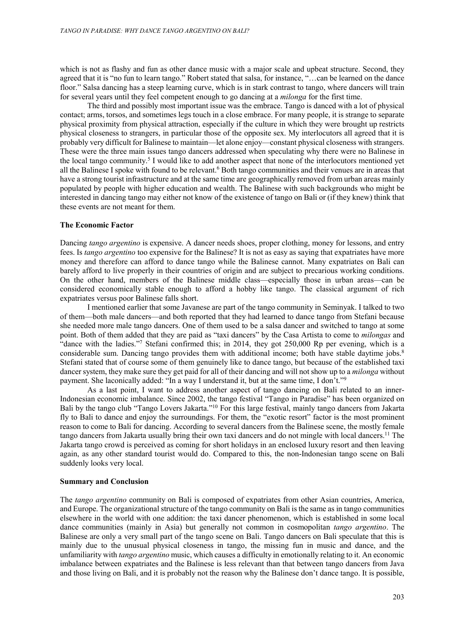which is not as flashy and fun as other dance music with a major scale and upbeat structure. Second, they agreed that it is "no fun to learn tango." Robert stated that salsa, for instance, "…can be learned on the dance floor." Salsa dancing has a steep learning curve, which is in stark contrast to tango, where dancers will train for several years until they feel competent enough to go dancing at a *milonga* for the first time.

The third and possibly most important issue was the embrace. Tango is danced with a lot of physical contact; arms, torsos, and sometimes legs touch in a close embrace. For many people, it is strange to separate physical proximity from physical attraction, especially if the culture in which they were brought up restricts physical closeness to strangers, in particular those of the opposite sex. My interlocutors all agreed that it is probably very difficult for Balinese to maintain—let alone enjoy—constant physical closeness with strangers. These were the three main issues tango dancers addressed when speculating why there were no Balinese in the local tango community.<sup>5</sup> I would like to add another aspect that none of the interlocutors mentioned yet all the Balinese I spoke with found to be relevant.<sup>6</sup> Both tango communities and their venues are in areas that have a strong tourist infrastructure and at the same time are geographically removed from urban areas mainly populated by people with higher education and wealth. The Balinese with such backgrounds who might be interested in dancing tango may either not know of the existence of tango on Bali or (if they knew) think that these events are not meant for them.

## **The Economic Factor**

Dancing *tango argentino* is expensive. A dancer needs shoes, proper clothing, money for lessons, and entry fees. Is *tango argentino* too expensive for the Balinese? It is not as easy as saying that expatriates have more money and therefore can afford to dance tango while the Balinese cannot. Many expatriates on Bali can barely afford to live properly in their countries of origin and are subject to precarious working conditions. On the other hand, members of the Balinese middle class—especially those in urban areas—can be considered economically stable enough to afford a hobby like tango. The classical argument of rich expatriates versus poor Balinese falls short.

I mentioned earlier that some Javanese are part of the tango community in Seminyak. I talked to two of them—both male dancers—and both reported that they had learned to dance tango from Stefani because she needed more male tango dancers. One of them used to be a salsa dancer and switched to tango at some point. Both of them added that they are paid as "taxi dancers" by the Casa Artista to come to *milongas* and "dance with the ladies."7 Stefani confirmed this; in 2014, they got 250,000 Rp per evening, which is a considerable sum. Dancing tango provides them with additional income; both have stable daytime jobs.<sup>8</sup> Stefani stated that of course some of them genuinely like to dance tango, but because of the established taxi dancer system, they make sure they get paid for all of their dancing and will not show up to a *milonga* without payment. She laconically added: "In a way I understand it, but at the same time, I don't."<sup>9</sup>

As a last point, I want to address another aspect of tango dancing on Bali related to an inner-Indonesian economic imbalance. Since 2002, the tango festival "Tango in Paradise" has been organized on Bali by the tango club "Tango Lovers Jakarta."<sup>10</sup> For this large festival, mainly tango dancers from Jakarta fly to Bali to dance and enjoy the surroundings. For them, the "exotic resort" factor is the most prominent reason to come to Bali for dancing. According to several dancers from the Balinese scene, the mostly female tango dancers from Jakarta usually bring their own taxi dancers and do not mingle with local dancers.<sup>11</sup> The Jakarta tango crowd is perceived as coming for short holidays in an enclosed luxury resort and then leaving again, as any other standard tourist would do. Compared to this, the non-Indonesian tango scene on Bali suddenly looks very local.

### **Summary and Conclusion**

The *tango argentino* community on Bali is composed of expatriates from other Asian countries, America, and Europe. The organizational structure of the tango community on Bali is the same as in tango communities elsewhere in the world with one addition: the taxi dancer phenomenon, which is established in some local dance communities (mainly in Asia) but generally not common in cosmopolitan *tango argentino*. The Balinese are only a very small part of the tango scene on Bali. Tango dancers on Bali speculate that this is mainly due to the unusual physical closeness in tango, the missing fun in music and dance, and the unfamiliarity with *tango argentino* music, which causes a difficulty in emotionally relating to it. An economic imbalance between expatriates and the Balinese is less relevant than that between tango dancers from Java and those living on Bali, and it is probably not the reason why the Balinese don't dance tango. It is possible,